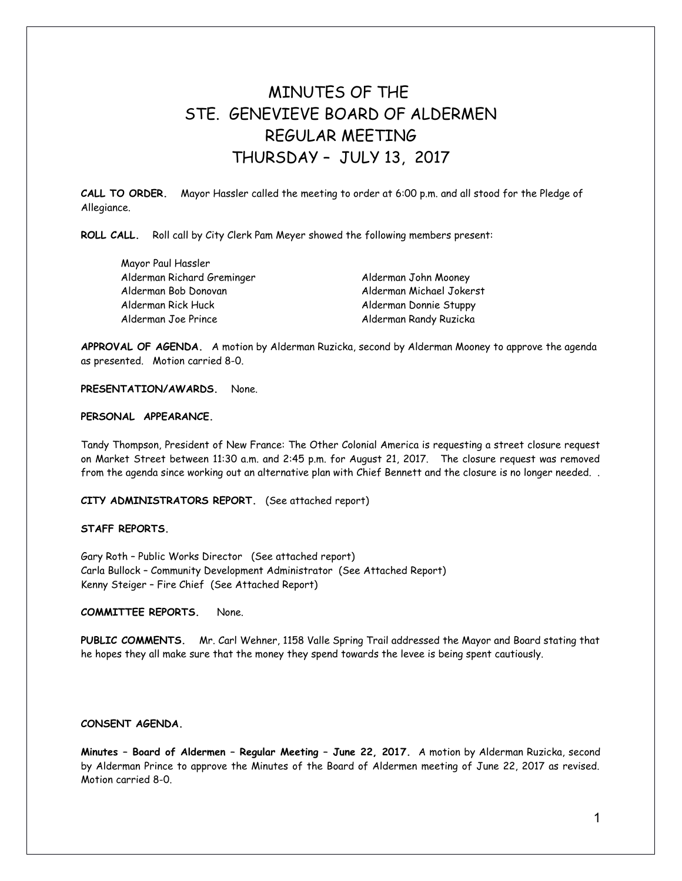# MINUTES OF THE STE. GENEVIEVE BOARD OF ALDERMEN REGULAR MEETING THURSDAY – JULY 13, 2017

**CALL TO ORDER.** Mayor Hassler called the meeting to order at 6:00 p.m. and all stood for the Pledge of Allegiance.

**ROLL CALL.** Roll call by City Clerk Pam Meyer showed the following members present:

| Mayor Paul Hassler         |                          |
|----------------------------|--------------------------|
| Alderman Richard Greminger | Alderman John Mooney     |
| Alderman Bob Donovan       | Alderman Michael Jokerst |
| Alderman Rick Huck         | Alderman Donnie Stuppy   |
| Alderman Joe Prince        | Alderman Randy Ruzicka   |

**APPROVAL OF AGENDA.** A motion by Alderman Ruzicka, second by Alderman Mooney to approve the agenda as presented. Motion carried 8-0.

# **PRESENTATION/AWARDS.** None.

#### **PERSONAL APPEARANCE.**

Tandy Thompson, President of New France: The Other Colonial America is requesting a street closure request on Market Street between 11:30 a.m. and 2:45 p.m. for August 21, 2017. The closure request was removed from the agenda since working out an alternative plan with Chief Bennett and the closure is no longer needed. .

## **CITY ADMINISTRATORS REPORT.** (See attached report)

#### **STAFF REPORTS.**

Gary Roth – Public Works Director (See attached report) Carla Bullock – Community Development Administrator (See Attached Report) Kenny Steiger – Fire Chief (See Attached Report)

# **COMMITTEE REPORTS.** None.

**PUBLIC COMMENTS.** Mr. Carl Wehner, 1158 Valle Spring Trail addressed the Mayor and Board stating that he hopes they all make sure that the money they spend towards the levee is being spent cautiously.

# **CONSENT AGENDA.**

**Minutes – Board of Aldermen – Regular Meeting – June 22, 2017.** A motion by Alderman Ruzicka, second by Alderman Prince to approve the Minutes of the Board of Aldermen meeting of June 22, 2017 as revised. Motion carried 8-0.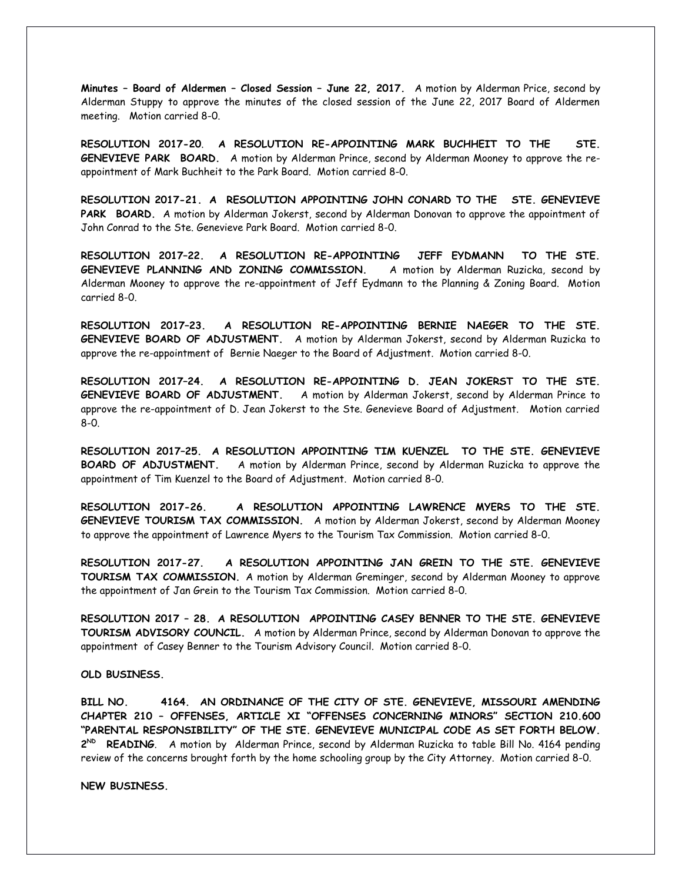**Minutes – Board of Aldermen – Closed Session – June 22, 2017.** A motion by Alderman Price, second by Alderman Stuppy to approve the minutes of the closed session of the June 22, 2017 Board of Aldermen meeting. Motion carried 8-0.

**RESOLUTION 2017-20**. **A RESOLUTION RE-APPOINTING MARK BUCHHEIT TO THE STE. GENEVIEVE PARK BOARD.** A motion by Alderman Prince, second by Alderman Mooney to approve the reappointment of Mark Buchheit to the Park Board. Motion carried 8-0.

**RESOLUTION 2017-21. A RESOLUTION APPOINTING JOHN CONARD TO THE STE. GENEVIEVE** PARK BOARD. A motion by Alderman Jokerst, second by Alderman Donovan to approve the appointment of John Conrad to the Ste. Genevieve Park Board. Motion carried 8-0.

**RESOLUTION 2017–22. A RESOLUTION RE-APPOINTING JEFF EYDMANN TO THE STE. GENEVIEVE PLANNING AND ZONING COMMISSION.** A motion by Alderman Ruzicka, second by Alderman Mooney to approve the re-appointment of Jeff Eydmann to the Planning & Zoning Board. Motion carried 8-0.

**RESOLUTION 2017–23. A RESOLUTION RE-APPOINTING BERNIE NAEGER TO THE STE. GENEVIEVE BOARD OF ADJUSTMENT.** A motion by Alderman Jokerst, second by Alderman Ruzicka to approve the re-appointment of Bernie Naeger to the Board of Adjustment. Motion carried 8-0.

**RESOLUTION 2017–24. A RESOLUTION RE-APPOINTING D. JEAN JOKERST TO THE STE. GENEVIEVE BOARD OF ADJUSTMENT.** A motion by Alderman Jokerst, second by Alderman Prince to approve the re-appointment of D. Jean Jokerst to the Ste. Genevieve Board of Adjustment. Motion carried 8-0.

**RESOLUTION 2017–25. A RESOLUTION APPOINTING TIM KUENZEL TO THE STE. GENEVIEVE BOARD OF ADJUSTMENT.** A motion by Alderman Prince, second by Alderman Ruzicka to approve the appointment of Tim Kuenzel to the Board of Adjustment. Motion carried 8-0.

**RESOLUTION 2017-26. A RESOLUTION APPOINTING LAWRENCE MYERS TO THE STE. GENEVIEVE TOURISM TAX COMMISSION.** A motion by Alderman Jokerst, second by Alderman Mooney to approve the appointment of Lawrence Myers to the Tourism Tax Commission. Motion carried 8-0.

**RESOLUTION 2017-27. A RESOLUTION APPOINTING JAN GREIN TO THE STE. GENEVIEVE TOURISM TAX COMMISSION.** A motion by Alderman Greminger, second by Alderman Mooney to approve the appointment of Jan Grein to the Tourism Tax Commission. Motion carried 8-0.

**RESOLUTION 2017 – 28. A RESOLUTION APPOINTING CASEY BENNER TO THE STE. GENEVIEVE TOURISM ADVISORY COUNCIL.** A motion by Alderman Prince, second by Alderman Donovan to approve the appointment of Casey Benner to the Tourism Advisory Council. Motion carried 8-0.

**OLD BUSINESS.** 

**BILL NO. 4164. AN ORDINANCE OF THE CITY OF STE. GENEVIEVE, MISSOURI AMENDING CHAPTER 210 – OFFENSES, ARTICLE XI "OFFENSES CONCERNING MINORS" SECTION 210.600 "PARENTAL RESPONSIBILITY" OF THE STE. GENEVIEVE MUNICIPAL CODE AS SET FORTH BELOW.** 2<sup>ND</sup> **READING**. A motion by Alderman Prince, second by Alderman Ruzicka to table Bill No. 4164 pending review of the concerns brought forth by the home schooling group by the City Attorney. Motion carried 8-0.

**NEW BUSINESS.**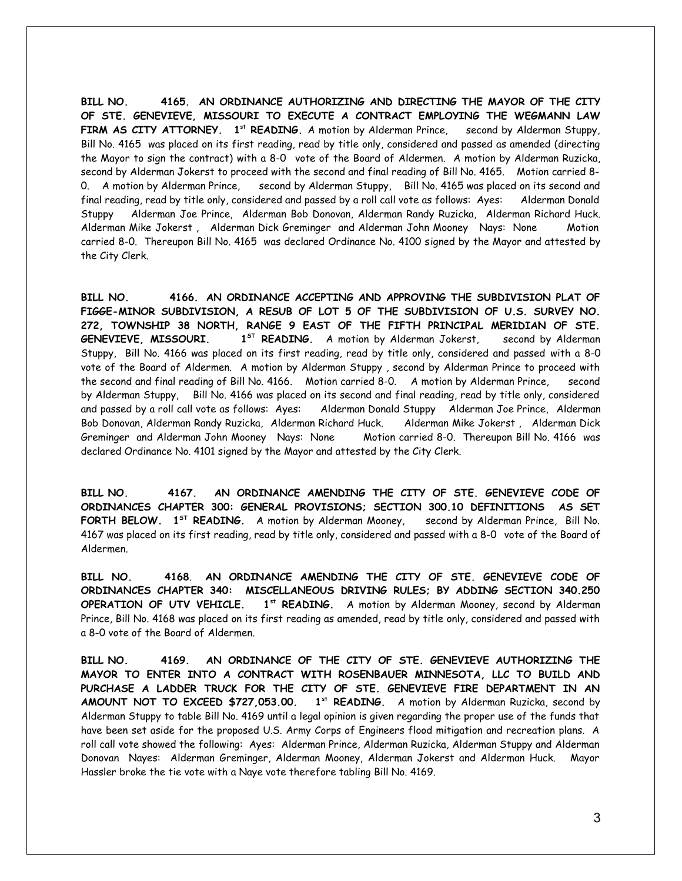**BILL NO. 4165. AN ORDINANCE AUTHORIZING AND DIRECTING THE MAYOR OF THE CITY OF STE. GENEVIEVE, MISSOURI TO EXECUTE A CONTRACT EMPLOYING THE WEGMANN LAW FIRM AS CITY ATTORNEY. 1 st READING.** A motion by Alderman Prince, second by Alderman Stuppy, Bill No. 4165 was placed on its first reading, read by title only, considered and passed as amended (directing the Mayor to sign the contract) with a 8-0 vote of the Board of Aldermen. A motion by Alderman Ruzicka, second by Alderman Jokerst to proceed with the second and final reading of Bill No. 4165. Motion carried 8- 0. A motion by Alderman Prince, second by Alderman Stuppy, Bill No. 4165 was placed on its second and final reading, read by title only, considered and passed by a roll call vote as follows: Ayes: Alderman Donald Stuppy Alderman Joe Prince, Alderman Bob Donovan, Alderman Randy Ruzicka, Alderman Richard Huck. Alderman Mike Jokerst , Alderman Dick Greminger and Alderman John Mooney Nays: None Motion carried 8-0. Thereupon Bill No. 4165 was declared Ordinance No. 4100 signed by the Mayor and attested by the City Clerk.

**BILL NO. 4166. AN ORDINANCE ACCEPTING AND APPROVING THE SUBDIVISION PLAT OF FIGGE-MINOR SUBDIVISION, A RESUB OF LOT 5 OF THE SUBDIVISION OF U.S. SURVEY NO. 272, TOWNSHIP 38 NORTH, RANGE 9 EAST OF THE FIFTH PRINCIPAL MERIDIAN OF STE. GENEVIEVE, MISSOURI. 1ST READING.** A motion by Alderman Jokerst, second by Alderman Stuppy, Bill No. 4166 was placed on its first reading, read by title only, considered and passed with a 8-0 vote of the Board of Aldermen. A motion by Alderman Stuppy , second by Alderman Prince to proceed with the second and final reading of Bill No. 4166. Motion carried 8-0. A motion by Alderman Prince, second by Alderman Stuppy, Bill No. 4166 was placed on its second and final reading, read by title only, considered and passed by a roll call vote as follows: Ayes: Alderman Donald Stuppy Alderman Joe Prince, Alderman Bob Donovan, Alderman Randy Ruzicka, Alderman Richard Huck. Alderman Mike Jokerst , Alderman Dick Greminger and Alderman John Mooney Nays: None Motion carried 8-0. Thereupon Bill No. 4166 was declared Ordinance No. 4101 signed by the Mayor and attested by the City Clerk.

**BILL NO. 4167. AN ORDINANCE AMENDING THE CITY OF STE. GENEVIEVE CODE OF ORDINANCES CHAPTER 300: GENERAL PROVISIONS; SECTION 300.10 DEFINITIONS AS SET FORTH BELOW. 1ST READING.** A motion by Alderman Mooney, second by Alderman Prince, Bill No. 4167 was placed on its first reading, read by title only, considered and passed with a 8-0 vote of the Board of Aldermen.

**BILL NO. 4168**. **AN ORDINANCE AMENDING THE CITY OF STE. GENEVIEVE CODE OF ORDINANCES CHAPTER 340: MISCELLANEOUS DRIVING RULES; BY ADDING SECTION 340.250 OPERATION OF UTV VEHICLE. 1st READING.** A motion by Alderman Mooney, second by Alderman Prince, Bill No. 4168 was placed on its first reading as amended, read by title only, considered and passed with a 8-0 vote of the Board of Aldermen.

**BILL NO. 4169. AN ORDINANCE OF THE CITY OF STE. GENEVIEVE AUTHORIZING THE MAYOR TO ENTER INTO A CONTRACT WITH ROSENBAUER MINNESOTA, LLC TO BUILD AND PURCHASE A LADDER TRUCK FOR THE CITY OF STE. GENEVIEVE FIRE DEPARTMENT IN AN AMOUNT NOT TO EXCEED \$727,053.00. 1st READING.** A motion by Alderman Ruzicka, second by Alderman Stuppy to table Bill No. 4169 until a legal opinion is given regarding the proper use of the funds that have been set aside for the proposed U.S. Army Corps of Engineers flood mitigation and recreation plans. A roll call vote showed the following: Ayes: Alderman Prince, Alderman Ruzicka, Alderman Stuppy and Alderman Donovan Nayes: Alderman Greminger, Alderman Mooney, Alderman Jokerst and Alderman Huck. Mayor Hassler broke the tie vote with a Naye vote therefore tabling Bill No. 4169.